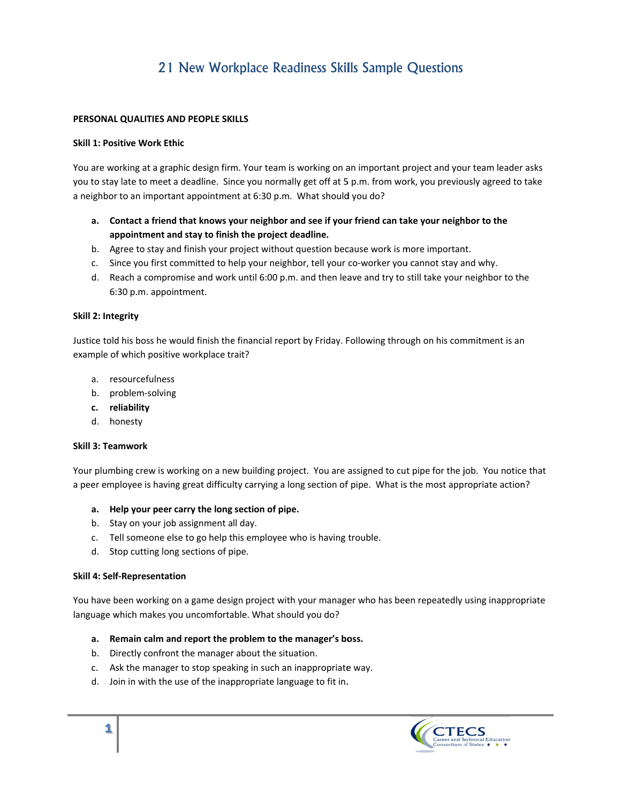# 21 New Workplace Readiness Skills Sample Questions

## **PERSONAL L QUALITIES AN ND PEOPLE SK KILLS**

## **Skill 1: Pos sitive Work Eth hic**

You are working at a graphic design firm. Your team is working on an important project and your team leader asks you to stay late to meet a deadline. Since you normally get off at 5 p.m. from work, you previously agreed to take a neighbor to an important appointment at 6:30 p.m. What should you do?

- **a.** Contact a friend that knows your neighbor and see if your friend can take your neighbor to the appointment and stay to finish the project deadline.
- b. Agree to stay and finish your project without question because work is more important.
- c. Since you first committed to help your neighbor, tell your co-worker you cannot stay and why.
- d. Reach a compromise and work until 6:00 p.m. and then leave and try to still take your neighbor to the 6: :30 p.m. appoi ntment.

## **Skill 2: Inte egrity**

Justice told his boss he would finish the financial report by Friday. Following through on his commitment is an example of which positive workplace trait?

- 
- a. resourcefulness<br>b. problem-solving b. pr roblem-solving
- **c. re eliability**
- d. honesty

#### **Skill 3: Tea amwork**

Your plumbing crew is working on a new building project. You are assigned to cut pipe for the job. You notic a peer employee is having great difficulty carrying a long section of pipe. What is the most appropriate action? n<br>ce that

## a. Help your peer carry the long section of pipe.

- b. Stay on your job assignment all day.
- c. Tell someone else to go help this employee who is having trouble.
- d. Stop cutting long sections of pipe.

#### **Skill 4: Self-Representation**

You have been working on a game design project with your manager who has been repeatedly using inappropriate language which makes you uncomfortable. What should you do?

#### a. Remain calm and report the problem to the manager's boss.

- b. Directly confront the manager about the situation.
- c. Ask the manager to stop speaking in such an inappropriate way.
- d. Join in with the use of the inappropriate language to fit in.

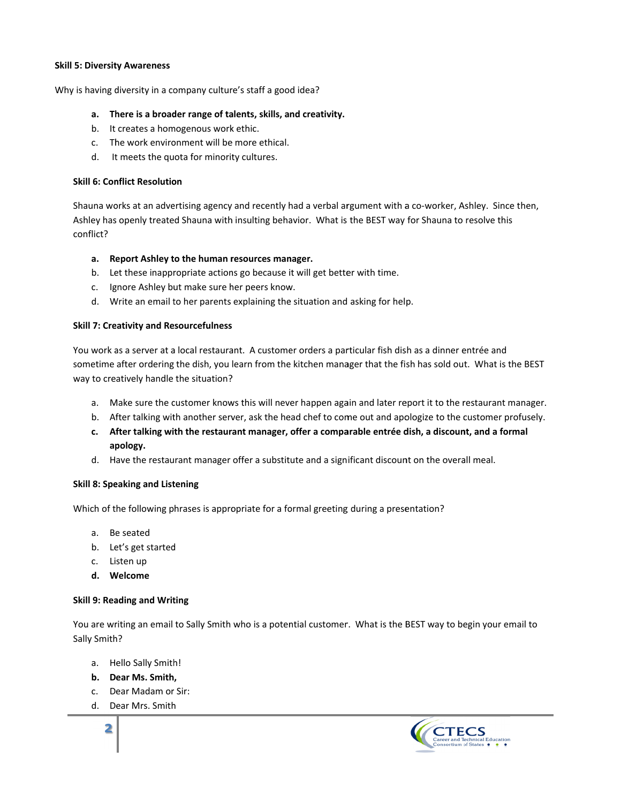#### **S kill 5: Diversit ty Awareness**

Why is having diversity in a company culture's staff a good idea?

- **a. Th here is a broad der range of ta alents, skills, a nd creativity.**
- b. It creates a homogenous work ethic.
- c. The work environment will be more ethical.
- d. It meets the quota for minority cultures.

## **Skill 6: Conflict Resolution**

Shauna works at an advertising agency and recently had a verbal argument with a co-worker, Ashley. Since then, Ashley has openly treated Shauna with insulting behavior. What is the BEST way for Shauna to resolve this conflict?

## a. Report Ashley to the human resources manager.

- b. Let these inappropriate actions go because it will get better with time.
- c. Ignore Ashley but make sure her peers know.
- d. Write an email to her parents explaining the situation and asking for help.

#### **Skill 7: Cre eativity and Re esourcefulness**

You work as a server at a local restaurant. A customer orders a particular fish dish as a dinner entrée and sometime after ordering the dish, you learn from the kitchen manager that the fish has sold out. What is the BEST way to cre atively handle the situation?

- to creatively handle the situation?<br>a. Make sure the customer knows this will never happen again and later report it to the restaurant manager.
- b. After talking with another server, ask the head chef to come out and apologize to the customer profusely.
- **c. Af fter talking wi th the restaur ant manager, offer a compa arable entrée d dish, a discoun nt, and a forma al ap pology.**
- d. Have the restaurant manager offer a substitute and a significant discount on the overall meal.

## **Skill 8: Speaking and Listening**

Which of the following phrases is appropriate for a formal greeting during a presentation?

- a. Be e seated
- b. Let's get started
- c. Li sten up
- **d. W Welcome**

#### **Skill 9: Reading and Writing**

You are writing an email to Sally Smith who is a potential customer. What is the BEST way to begin your email to Sally Smith h?

- a. Hello Sally Smith!
- **b. D ear Ms. Smith ,**
- c. Dear Madam or Sir:
- d. D ear Mrs. Smith h<br>**h**<br>h

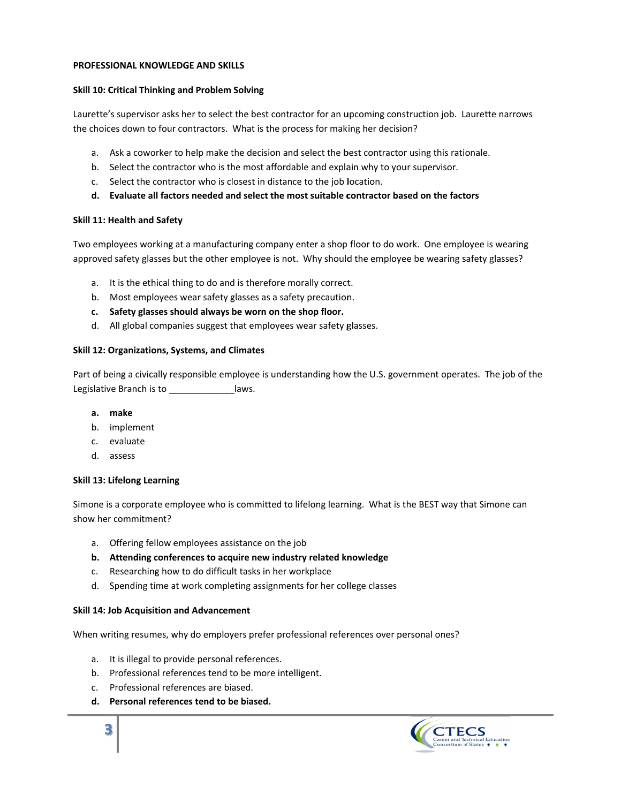#### PROFESSIONAL KNOWLEDGE AND SKILLS

## Skill 10: Critical Thinking and Problem Solving

Laurette's supervisor asks her to select the best contractor for an upcoming construction job. Laurette narrows the choices down to four contractors. What is the process for making her decision?

- a. Ask a coworker to help make the decision and select the best contractor using this rationale.
- b. Select the contractor who is the most affordable and explain why to your supervisor.
- c. Select the contractor who is closest in distance to the job location.
- d. Evaluate all factors needed and select the most suitable contractor based on the factors

## Skill 11: Health and Safety

Two employees working at a manufacturing company enter a shop floor to do work. One employee is wearing approved safety glasses but the other employee is not. Why should the employee be wearing safety glasses?

- a. It is the ethical thing to do and is therefore morally correct.
- b. Most employees wear safety glasses as a safety precaution.
- c. Safety glasses should always be worn on the shop floor.
- d. All global companies suggest that employees wear safety glasses.

## Skill 12: Organizations, Systems, and Climates

Part of being a civically responsible employee is understanding how the U.S. government operates. The job of the Legislative Branch is to \_\_\_\_\_\_\_\_\_\_\_\_\_\_\_\_laws.

- a. make
- b. implement
- c. evaluate
- d. assess

## **Skill 13: Lifelong Learning**

Simone is a corporate employee who is committed to lifelong learning. What is the BEST way that Simone can show her commitment?

- a. Offering fellow employees assistance on the job
- b. Attending conferences to acquire new industry related knowledge
- c. Researching how to do difficult tasks in her workplace
- d. Spending time at work completing assignments for her college classes

## **Skill 14: Job Acquisition and Advancement**

When writing resumes, why do employers prefer professional references over personal ones?

- a. It is illegal to provide personal references.
- b. Professional references tend to be more intelligent.
- c. Professional references are biased.
- d. Personal references tend to be biased.

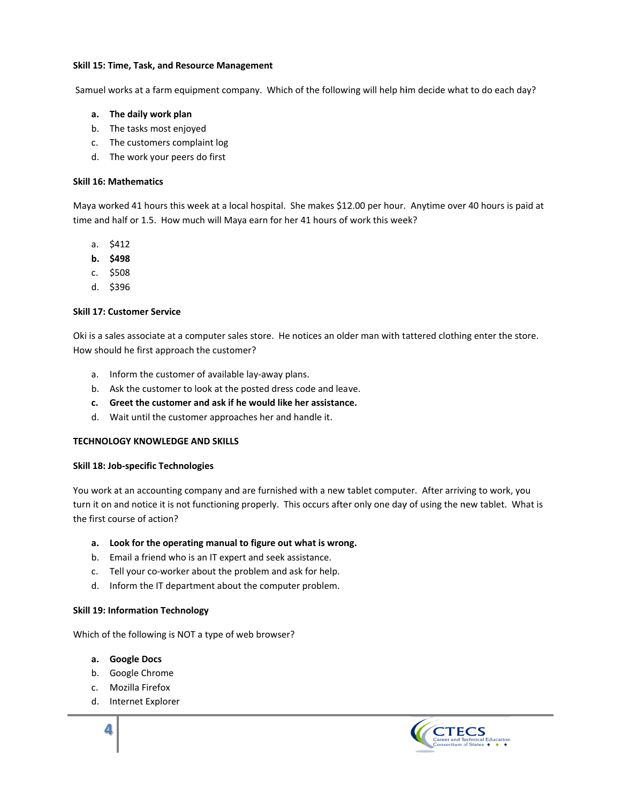#### Skill 15: Time, Task, and Resource Management

Samuel works at a farm equipment company. Which of the following will help him decide what to do each day?

- a. The daily work plan
- b. The tasks most enjoyed
- c. The customers complaint log
- d. The work your peers do first

## **Skill 16: Mathematics**

Maya worked 41 hours this week at a local hospital. She makes \$12.00 per hour. Anytime over 40 hours is paid at time and half or 1.5. How much will Maya earn for her 41 hours of work this week?

- $a.$  \$412
- b. \$498
- c. \$508
- d. \$396

## **Skill 17: Customer Service**

Oki is a sales associate at a computer sales store. He notices an older man with tattered clothing enter the store. How should he first approach the customer?

- a. Inform the customer of available lay-away plans.
- b. Ask the customer to look at the posted dress code and leave.
- c. Greet the customer and ask if he would like her assistance.
- d. Wait until the customer approaches her and handle it.

## **TECHNOLOGY KNOWLEDGE AND SKILLS**

## Skill 18: Job-specific Technologies

You work at an accounting company and are furnished with a new tablet computer. After arriving to work, you turn it on and notice it is not functioning properly. This occurs after only one day of using the new tablet. What is the first course of action?

## a. Look for the operating manual to figure out what is wrong.

- b. Email a friend who is an IT expert and seek assistance.
- c. Tell your co-worker about the problem and ask for help.
- d. Inform the IT department about the computer problem.

## **Skill 19: Information Technology**

Which of the following is NOT a type of web browser?

## a. Google Docs

- b. Google Chrome
- c. Mozilla Firefox
- d. Internet Explorer